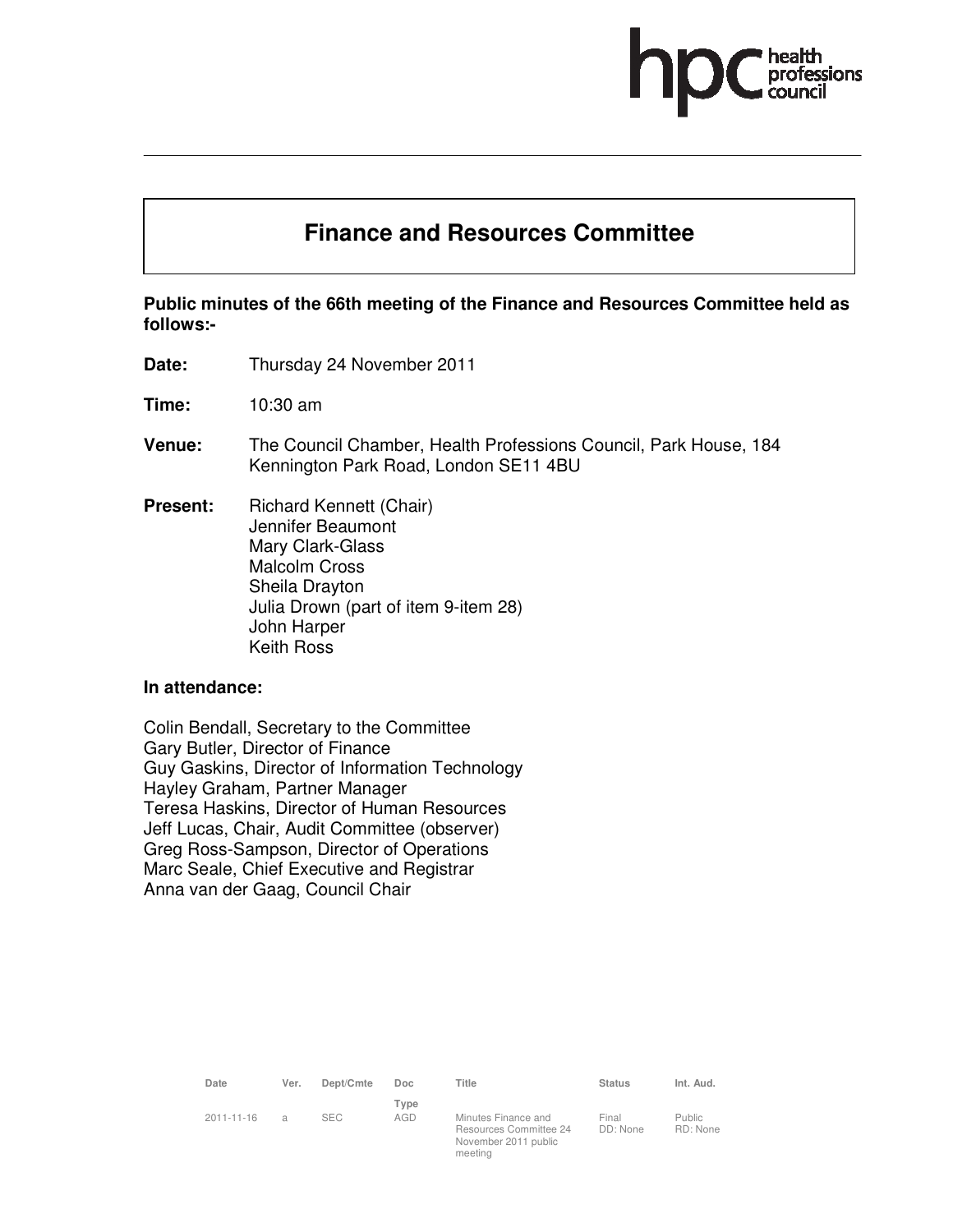

# **Finance and Resources Committee**

**Public minutes of the 66th meeting of the Finance and Resources Committee held as follows:-** 

**Date:** Thursday 24 November 2011

**Time:** 10:30 am

- **Venue:** The Council Chamber, Health Professions Council, Park House, 184 Kennington Park Road, London SE11 4BU
- **Present:** Richard Kennett (Chair) Jennifer Beaumont Mary Clark-Glass Malcolm Cross Sheila Drayton Julia Drown (part of item 9-item 28) John Harper Keith Ross

#### **In attendance:**

Colin Bendall, Secretary to the Committee Gary Butler, Director of Finance Guy Gaskins, Director of Information Technology Hayley Graham, Partner Manager Teresa Haskins, Director of Human Resources Jeff Lucas, Chair, Audit Committee (observer) Greg Ross-Sampson, Director of Operations Marc Seale, Chief Executive and Registrar Anna van der Gaag, Council Chair

| Date       | Ver. | Dept/Cmte  | Doc         | Title                                                                            | <b>Status</b>     | Int. Aud.           |
|------------|------|------------|-------------|----------------------------------------------------------------------------------|-------------------|---------------------|
| 2011-11-16 | a    | <b>SEC</b> | Type<br>AGD | Minutes Finance and<br>Resources Committee 24<br>November 2011 public<br>meeting | Final<br>DD: None | Public.<br>RD: None |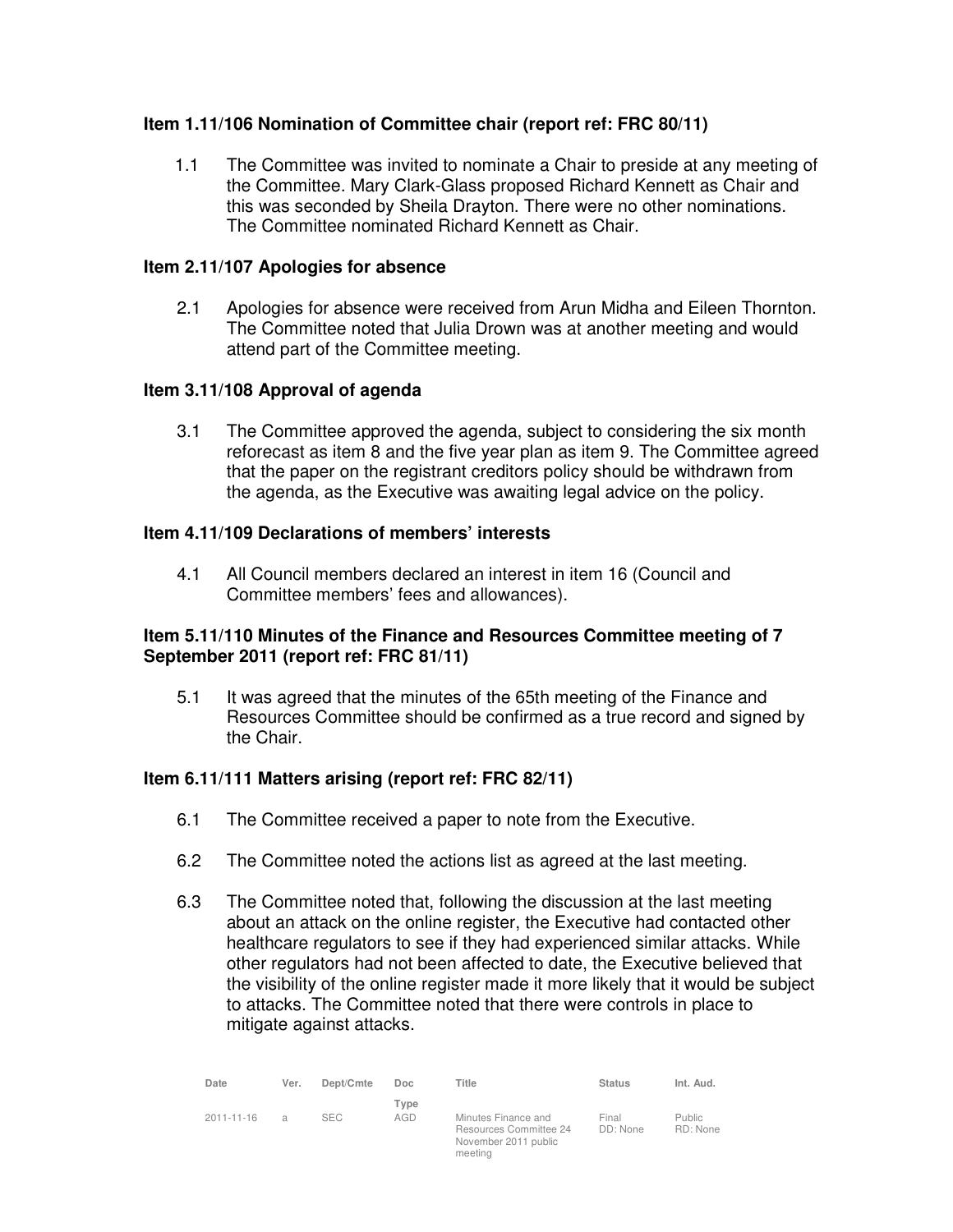# **Item 1.11/106 Nomination of Committee chair (report ref: FRC 80/11)**

1.1 The Committee was invited to nominate a Chair to preside at any meeting of the Committee. Mary Clark-Glass proposed Richard Kennett as Chair and this was seconded by Sheila Drayton. There were no other nominations. The Committee nominated Richard Kennett as Chair.

# **Item 2.11/107 Apologies for absence**

2.1 Apologies for absence were received from Arun Midha and Eileen Thornton. The Committee noted that Julia Drown was at another meeting and would attend part of the Committee meeting.

# **Item 3.11/108 Approval of agenda**

3.1 The Committee approved the agenda, subject to considering the six month reforecast as item 8 and the five year plan as item 9. The Committee agreed that the paper on the registrant creditors policy should be withdrawn from the agenda, as the Executive was awaiting legal advice on the policy.

## **Item 4.11/109 Declarations of members' interests**

4.1 All Council members declared an interest in item 16 (Council and Committee members' fees and allowances).

# **Item 5.11/110 Minutes of the Finance and Resources Committee meeting of 7 September 2011 (report ref: FRC 81/11)**

5.1 It was agreed that the minutes of the 65th meeting of the Finance and Resources Committee should be confirmed as a true record and signed by the Chair.

## **Item 6.11/111 Matters arising (report ref: FRC 82/11)**

- 6.1 The Committee received a paper to note from the Executive.
- 6.2 The Committee noted the actions list as agreed at the last meeting.
- 6.3 The Committee noted that, following the discussion at the last meeting about an attack on the online register, the Executive had contacted other healthcare regulators to see if they had experienced similar attacks. While other regulators had not been affected to date, the Executive believed that the visibility of the online register made it more likely that it would be subject to attacks. The Committee noted that there were controls in place to mitigate against attacks.

| Date       | Ver.           | Dept/Cmte  | Doc.        | Title                                                                            | <b>Status</b>     | Int. Aud.          |
|------------|----------------|------------|-------------|----------------------------------------------------------------------------------|-------------------|--------------------|
| 2011-11-16 | $\overline{a}$ | <b>SEC</b> | Type<br>AGD | Minutes Finance and<br>Resources Committee 24<br>November 2011 public<br>meeting | Final<br>DD: None | Public<br>RD: None |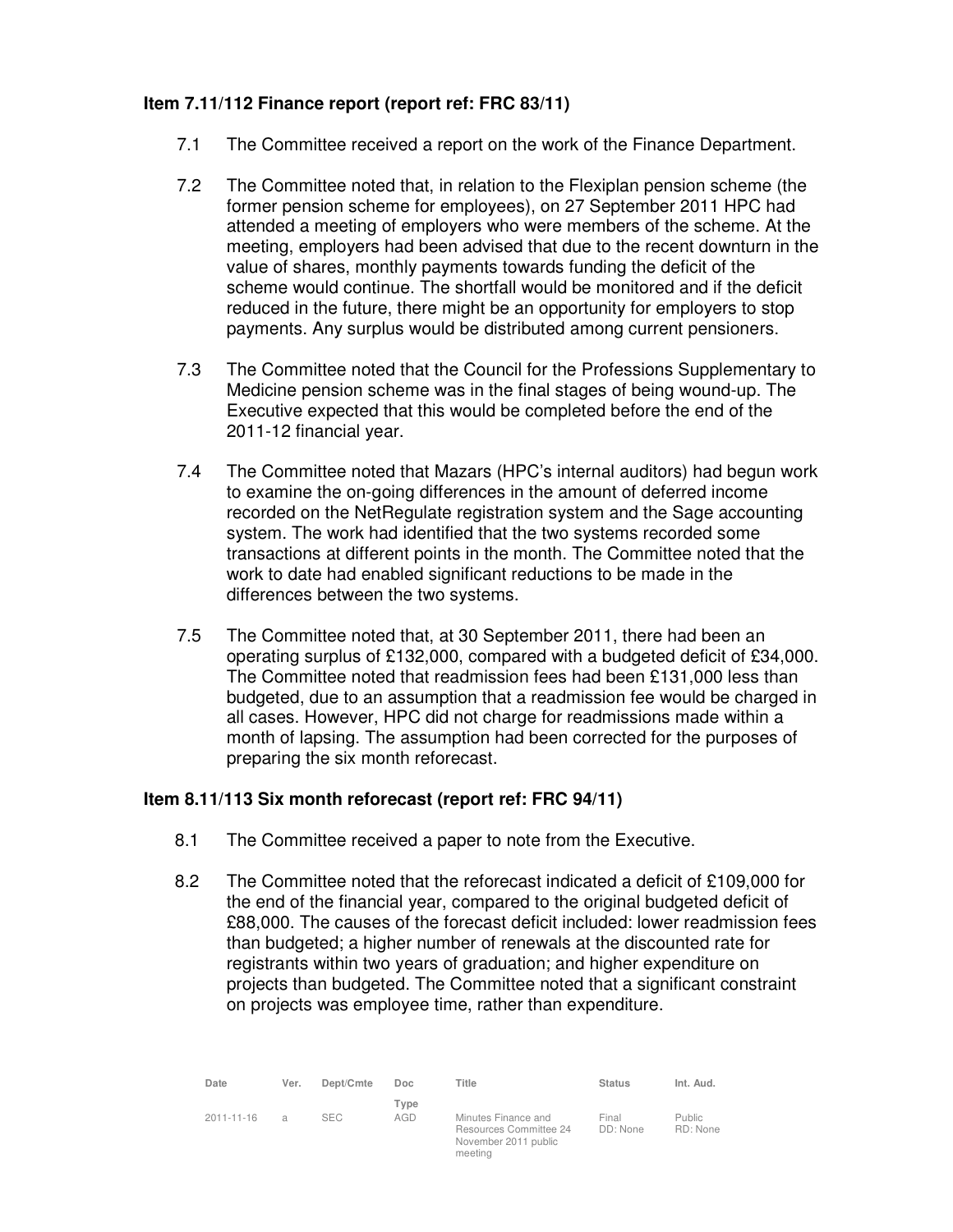# **Item 7.11/112 Finance report (report ref: FRC 83/11)**

- 7.1 The Committee received a report on the work of the Finance Department.
- 7.2 The Committee noted that, in relation to the Flexiplan pension scheme (the former pension scheme for employees), on 27 September 2011 HPC had attended a meeting of employers who were members of the scheme. At the meeting, employers had been advised that due to the recent downturn in the value of shares, monthly payments towards funding the deficit of the scheme would continue. The shortfall would be monitored and if the deficit reduced in the future, there might be an opportunity for employers to stop payments. Any surplus would be distributed among current pensioners.
- 7.3 The Committee noted that the Council for the Professions Supplementary to Medicine pension scheme was in the final stages of being wound-up. The Executive expected that this would be completed before the end of the 2011-12 financial year.
- 7.4 The Committee noted that Mazars (HPC's internal auditors) had begun work to examine the on-going differences in the amount of deferred income recorded on the NetRegulate registration system and the Sage accounting system. The work had identified that the two systems recorded some transactions at different points in the month. The Committee noted that the work to date had enabled significant reductions to be made in the differences between the two systems.
- 7.5 The Committee noted that, at 30 September 2011, there had been an operating surplus of £132,000, compared with a budgeted deficit of £34,000. The Committee noted that readmission fees had been £131,000 less than budgeted, due to an assumption that a readmission fee would be charged in all cases. However, HPC did not charge for readmissions made within a month of lapsing. The assumption had been corrected for the purposes of preparing the six month reforecast.

# **Item 8.11/113 Six month reforecast (report ref: FRC 94/11)**

- 8.1 The Committee received a paper to note from the Executive.
- 8.2 The Committee noted that the reforecast indicated a deficit of £109,000 for the end of the financial year, compared to the original budgeted deficit of £88,000. The causes of the forecast deficit included: lower readmission fees than budgeted; a higher number of renewals at the discounted rate for registrants within two years of graduation; and higher expenditure on projects than budgeted. The Committee noted that a significant constraint on projects was employee time, rather than expenditure.

| Date             | Ver.           | Dept/Cmte  | Doc.        | Title                                                                            | <b>Status</b>     | Int. Aud.           |
|------------------|----------------|------------|-------------|----------------------------------------------------------------------------------|-------------------|---------------------|
| $2011 - 11 - 16$ | $\overline{a}$ | <b>SEC</b> | Type<br>AGD | Minutes Finance and<br>Resources Committee 24<br>November 2011 public<br>meeting | Final<br>DD: None | Public.<br>RD: None |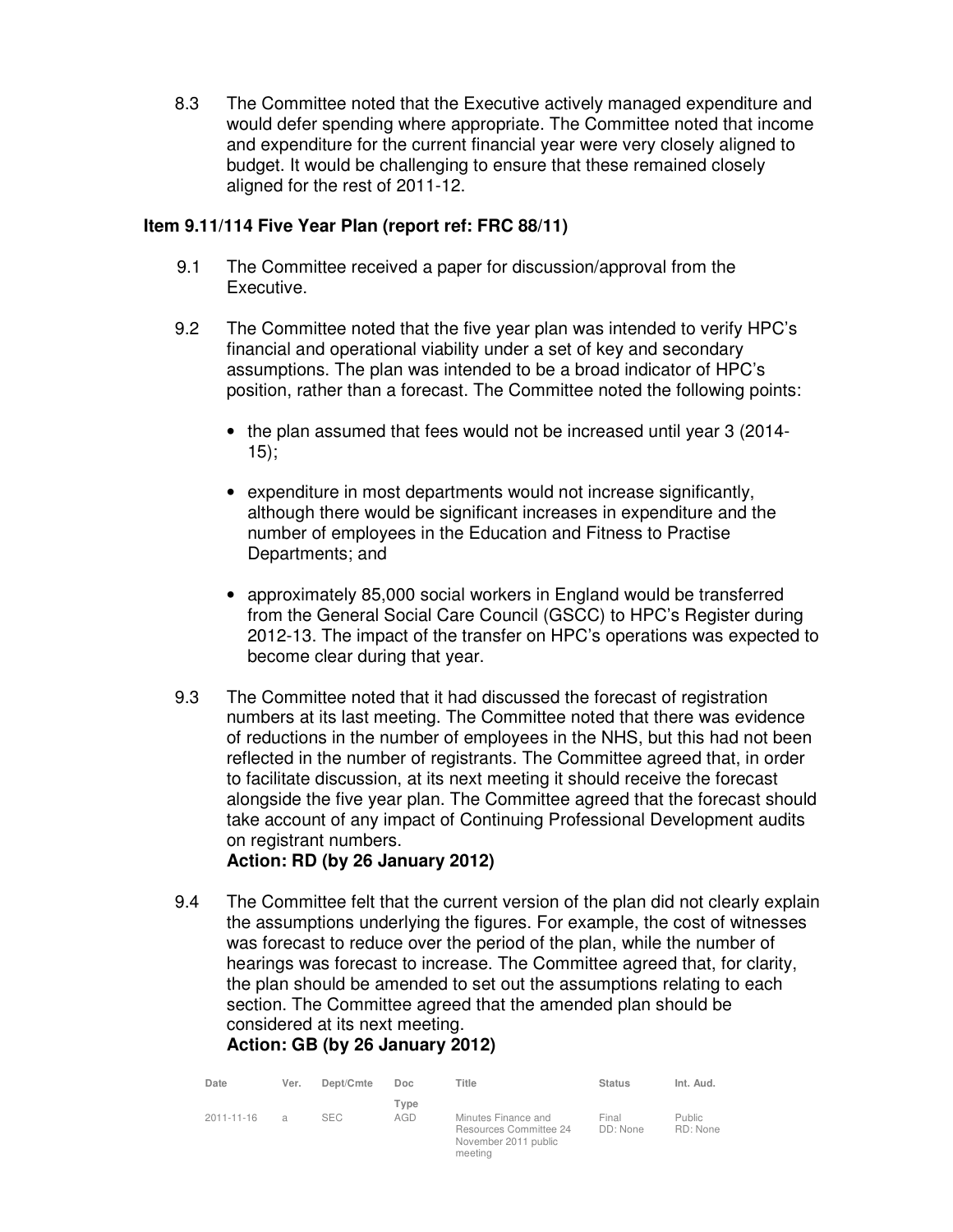8.3 The Committee noted that the Executive actively managed expenditure and would defer spending where appropriate. The Committee noted that income and expenditure for the current financial year were very closely aligned to budget. It would be challenging to ensure that these remained closely aligned for the rest of 2011-12.

# **Item 9.11/114 Five Year Plan (report ref: FRC 88/11)**

- 9.1 The Committee received a paper for discussion/approval from the Executive.
- 9.2 The Committee noted that the five year plan was intended to verify HPC's financial and operational viability under a set of key and secondary assumptions. The plan was intended to be a broad indicator of HPC's position, rather than a forecast. The Committee noted the following points:
	- the plan assumed that fees would not be increased until year 3 (2014- 15);
	- expenditure in most departments would not increase significantly, although there would be significant increases in expenditure and the number of employees in the Education and Fitness to Practise Departments; and
	- approximately 85,000 social workers in England would be transferred from the General Social Care Council (GSCC) to HPC's Register during 2012-13. The impact of the transfer on HPC's operations was expected to become clear during that year.
- 9.3 The Committee noted that it had discussed the forecast of registration numbers at its last meeting. The Committee noted that there was evidence of reductions in the number of employees in the NHS, but this had not been reflected in the number of registrants. The Committee agreed that, in order to facilitate discussion, at its next meeting it should receive the forecast alongside the five year plan. The Committee agreed that the forecast should take account of any impact of Continuing Professional Development audits on registrant numbers.

# **Action: RD (by 26 January 2012)**

9.4 The Committee felt that the current version of the plan did not clearly explain the assumptions underlying the figures. For example, the cost of witnesses was forecast to reduce over the period of the plan, while the number of hearings was forecast to increase. The Committee agreed that, for clarity, the plan should be amended to set out the assumptions relating to each section. The Committee agreed that the amended plan should be considered at its next meeting.

# **Action: GB (by 26 January 2012)**

| Date             | Ver. | Dept/Cmte  | Doc.        | Title                                                                            | <b>Status</b>     | Int. Aud.          |
|------------------|------|------------|-------------|----------------------------------------------------------------------------------|-------------------|--------------------|
| $2011 - 11 - 16$ | a    | <b>SEC</b> | Type<br>AGD | Minutes Finance and<br>Resources Committee 24<br>November 2011 public<br>meeting | Final<br>DD: None | Public<br>RD: None |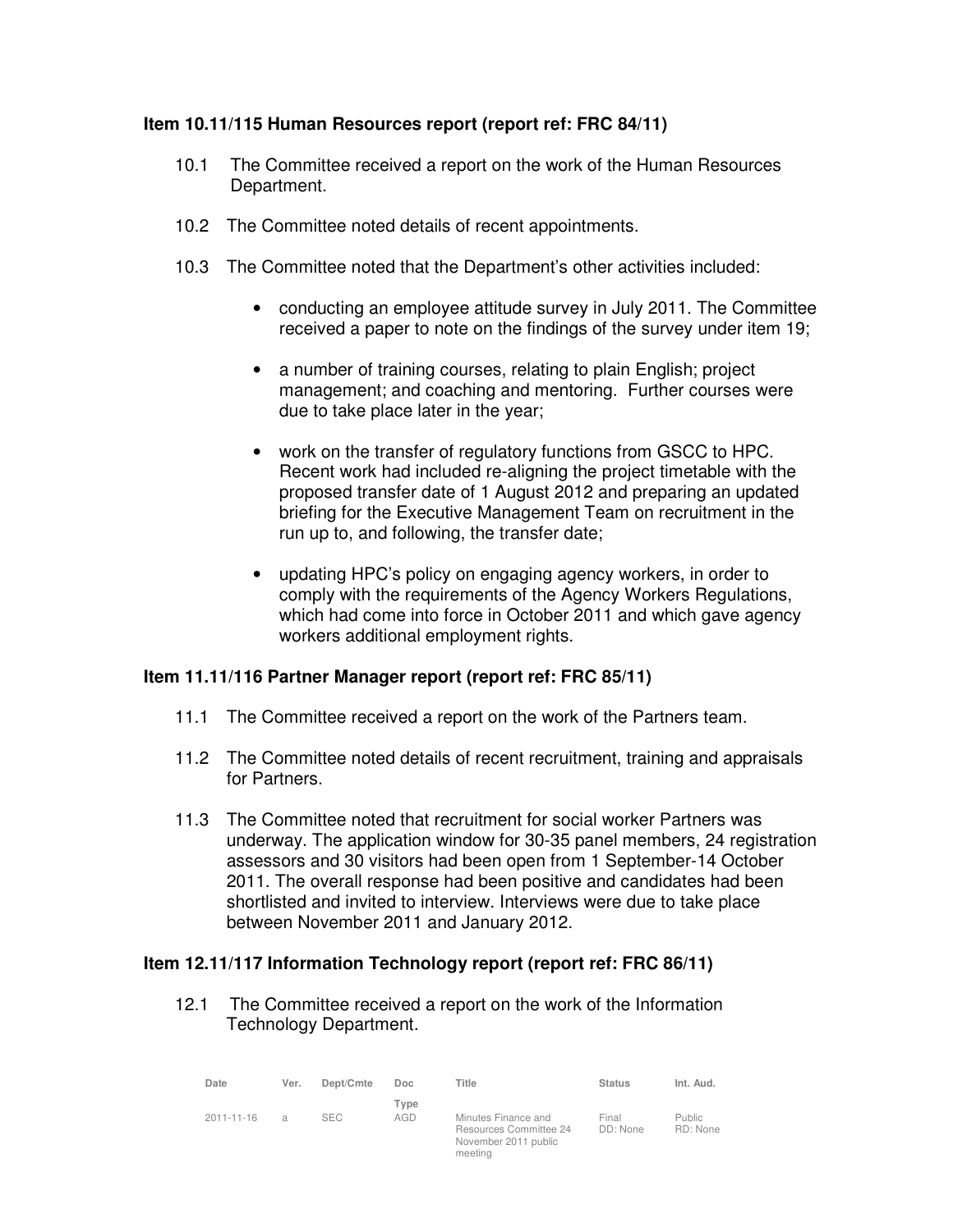# **Item 10.11/115 Human Resources report (report ref: FRC 84/11)**

- 10.1 The Committee received a report on the work of the Human Resources Department.
- 10.2 The Committee noted details of recent appointments.
- 10.3 The Committee noted that the Department's other activities included:
	- conducting an employee attitude survey in July 2011. The Committee received a paper to note on the findings of the survey under item 19;
	- a number of training courses, relating to plain English; project management; and coaching and mentoring. Further courses were due to take place later in the year;
	- work on the transfer of regulatory functions from GSCC to HPC. Recent work had included re-aligning the project timetable with the proposed transfer date of 1 August 2012 and preparing an updated briefing for the Executive Management Team on recruitment in the run up to, and following, the transfer date;
	- updating HPC's policy on engaging agency workers, in order to comply with the requirements of the Agency Workers Regulations, which had come into force in October 2011 and which gave agency workers additional employment rights.

## **Item 11.11/116 Partner Manager report (report ref: FRC 85/11)**

- 11.1 The Committee received a report on the work of the Partners team.
- 11.2 The Committee noted details of recent recruitment, training and appraisals for Partners.
- 11.3 The Committee noted that recruitment for social worker Partners was underway. The application window for 30-35 panel members, 24 registration assessors and 30 visitors had been open from 1 September-14 October 2011. The overall response had been positive and candidates had been shortlisted and invited to interview. Interviews were due to take place between November 2011 and January 2012.

# **Item 12.11/117 Information Technology report (report ref: FRC 86/11)**

12.1 The Committee received a report on the work of the Information Technology Department.

| Date             | Ver.           | Dept/Cmte  | Doc         | Title                                                                            | <b>Status</b>     | Int. Aud.                 |
|------------------|----------------|------------|-------------|----------------------------------------------------------------------------------|-------------------|---------------------------|
| $2011 - 11 - 16$ | $\overline{a}$ | <b>SEC</b> | Type<br>AGD | Minutes Finance and<br>Resources Committee 24<br>November 2011 public<br>meeting | Final<br>DD: None | <b>Public</b><br>RD: None |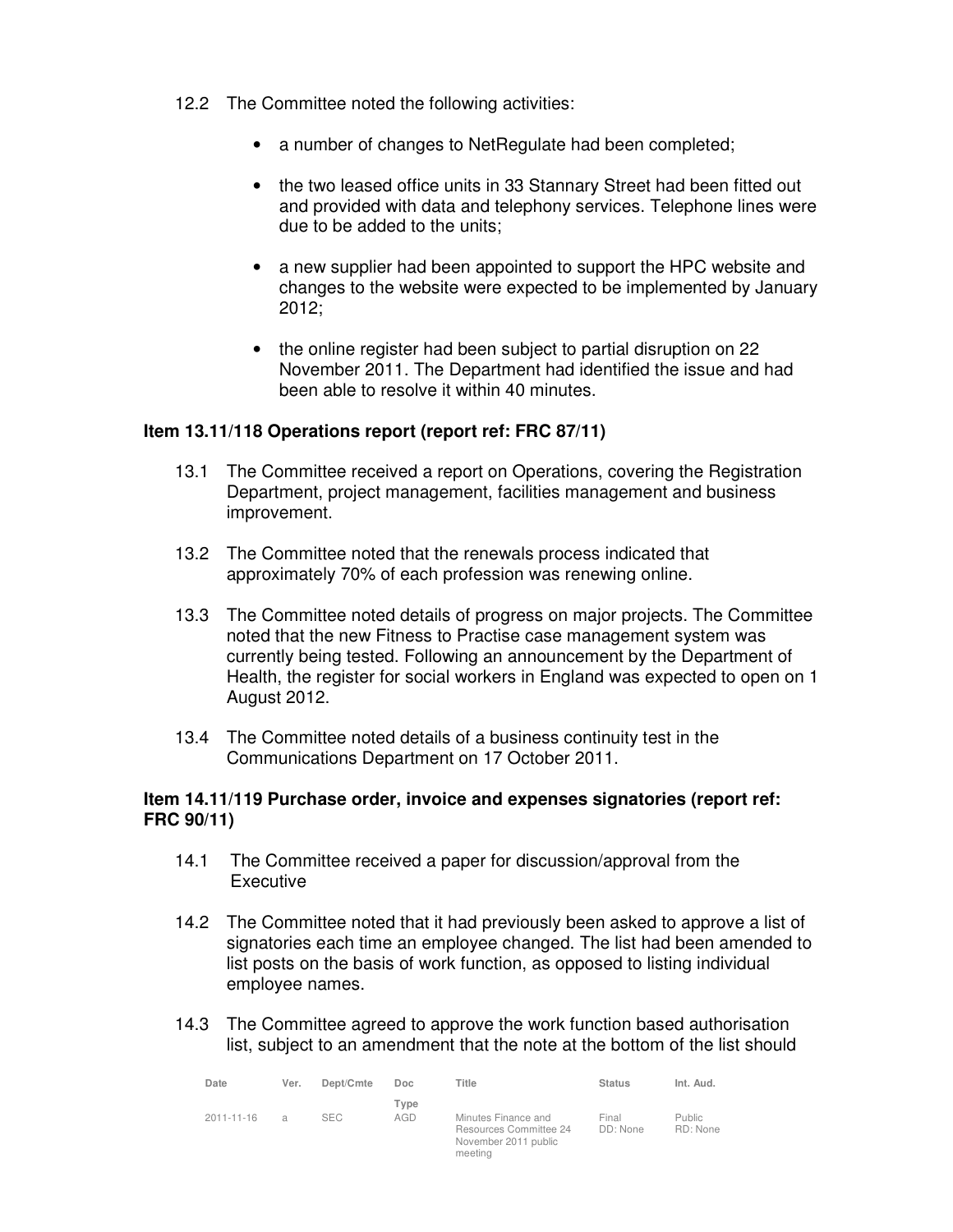- 12.2 The Committee noted the following activities:
	- a number of changes to NetRegulate had been completed;
	- the two leased office units in 33 Stannary Street had been fitted out and provided with data and telephony services. Telephone lines were due to be added to the units;
	- a new supplier had been appointed to support the HPC website and changes to the website were expected to be implemented by January 2012;
	- the online register had been subject to partial disruption on 22 November 2011. The Department had identified the issue and had been able to resolve it within 40 minutes.

## **Item 13.11/118 Operations report (report ref: FRC 87/11)**

- 13.1 The Committee received a report on Operations, covering the Registration Department, project management, facilities management and business improvement.
- 13.2 The Committee noted that the renewals process indicated that approximately 70% of each profession was renewing online.
- 13.3 The Committee noted details of progress on major projects. The Committee noted that the new Fitness to Practise case management system was currently being tested. Following an announcement by the Department of Health, the register for social workers in England was expected to open on 1 August 2012.
- 13.4 The Committee noted details of a business continuity test in the Communications Department on 17 October 2011.

#### **Item 14.11/119 Purchase order, invoice and expenses signatories (report ref: FRC 90/11)**

- 14.1 The Committee received a paper for discussion/approval from the **Executive**
- 14.2 The Committee noted that it had previously been asked to approve a list of signatories each time an employee changed. The list had been amended to list posts on the basis of work function, as opposed to listing individual employee names.
- 14.3 The Committee agreed to approve the work function based authorisation list, subject to an amendment that the note at the bottom of the list should

| Date             | Ver. | Dept/Cmte  | Doc.        | Title                                                                            | <b>Status</b>     | Int. Aud.                 |
|------------------|------|------------|-------------|----------------------------------------------------------------------------------|-------------------|---------------------------|
| $2011 - 11 - 16$ | a    | <b>SEC</b> | Type<br>AGD | Minutes Finance and<br>Resources Committee 24<br>November 2011 public<br>meeting | Final<br>DD: None | <b>Public</b><br>RD: None |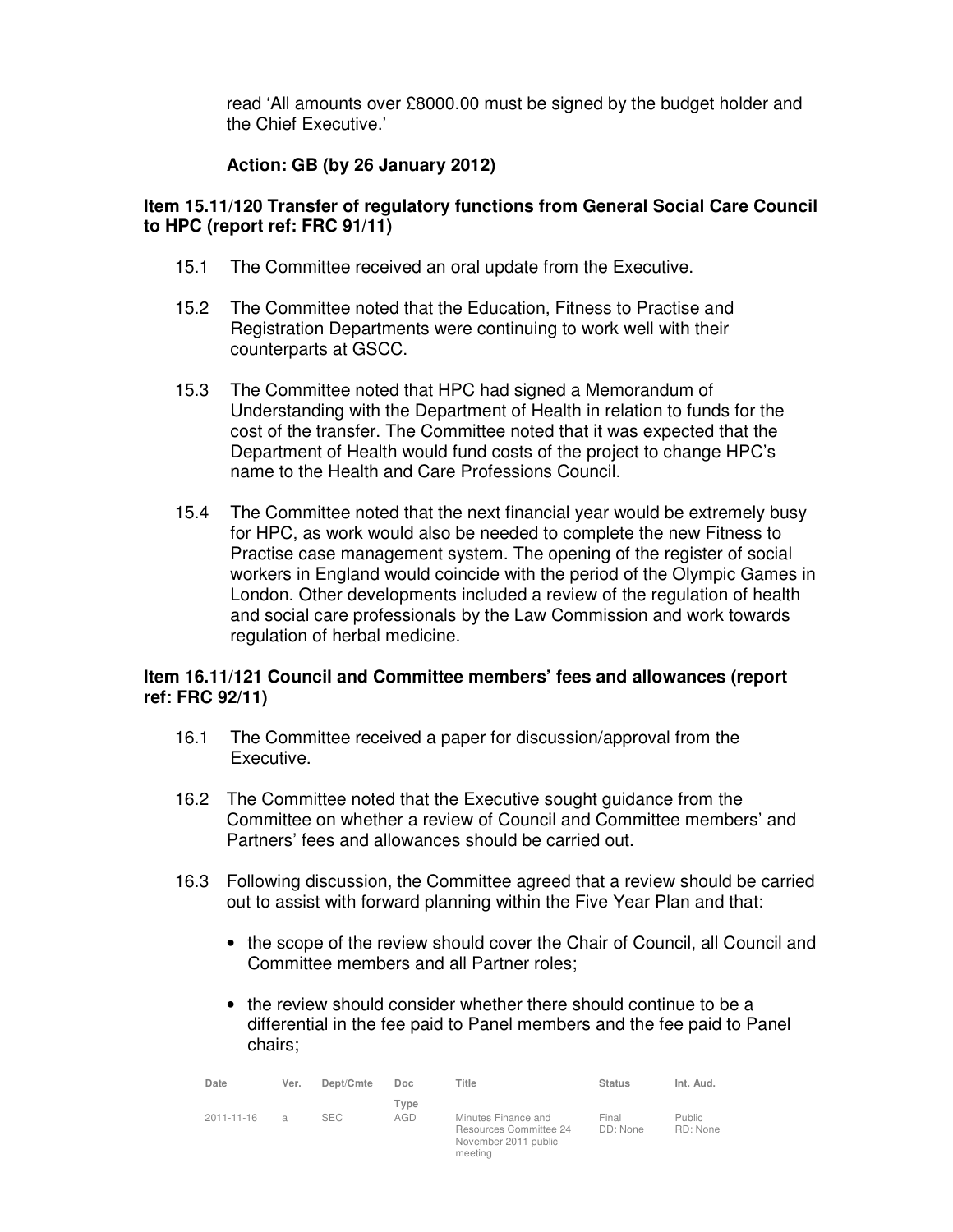read 'All amounts over £8000.00 must be signed by the budget holder and the Chief Executive.'

# **Action: GB (by 26 January 2012)**

## **Item 15.11/120 Transfer of regulatory functions from General Social Care Council to HPC (report ref: FRC 91/11)**

- 15.1 The Committee received an oral update from the Executive.
- 15.2 The Committee noted that the Education, Fitness to Practise and Registration Departments were continuing to work well with their counterparts at GSCC.
- 15.3 The Committee noted that HPC had signed a Memorandum of Understanding with the Department of Health in relation to funds for the cost of the transfer. The Committee noted that it was expected that the Department of Health would fund costs of the project to change HPC's name to the Health and Care Professions Council.
- 15.4 The Committee noted that the next financial year would be extremely busy for HPC, as work would also be needed to complete the new Fitness to Practise case management system. The opening of the register of social workers in England would coincide with the period of the Olympic Games in London. Other developments included a review of the regulation of health and social care professionals by the Law Commission and work towards regulation of herbal medicine.

## **Item 16.11/121 Council and Committee members' fees and allowances (report ref: FRC 92/11)**

- 16.1 The Committee received a paper for discussion/approval from the Executive.
- 16.2 The Committee noted that the Executive sought guidance from the Committee on whether a review of Council and Committee members' and Partners' fees and allowances should be carried out.
- 16.3 Following discussion, the Committee agreed that a review should be carried out to assist with forward planning within the Five Year Plan and that:
	- the scope of the review should cover the Chair of Council, all Council and Committee members and all Partner roles;
	- the review should consider whether there should continue to be a differential in the fee paid to Panel members and the fee paid to Panel chairs;

| Date       | Ver.           | Dept/Cmte | Doc.        | Title                                                                            | <b>Status</b>     | Int. Aud.                 |
|------------|----------------|-----------|-------------|----------------------------------------------------------------------------------|-------------------|---------------------------|
| 2011-11-16 | $\overline{a}$ | SEC.      | Type<br>AGD | Minutes Finance and<br>Resources Committee 24<br>November 2011 public<br>meeting | Final<br>DD: None | <b>Public</b><br>RD: None |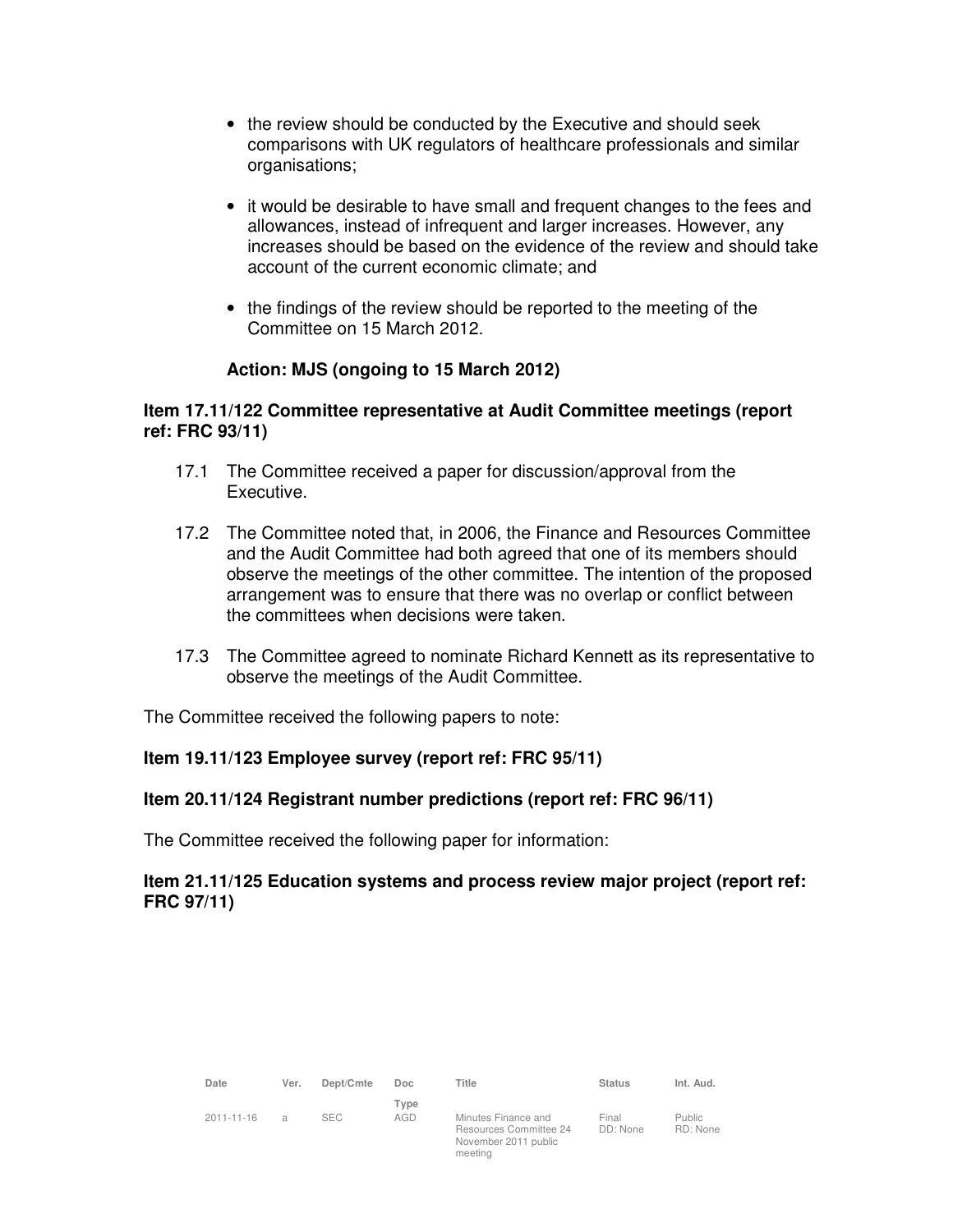- the review should be conducted by the Executive and should seek comparisons with UK regulators of healthcare professionals and similar organisations;
- it would be desirable to have small and frequent changes to the fees and allowances, instead of infrequent and larger increases. However, any increases should be based on the evidence of the review and should take account of the current economic climate; and
- the findings of the review should be reported to the meeting of the Committee on 15 March 2012.

# **Action: MJS (ongoing to 15 March 2012)**

# **Item 17.11/122 Committee representative at Audit Committee meetings (report ref: FRC 93/11)**

- 17.1 The Committee received a paper for discussion/approval from the Executive.
- 17.2 The Committee noted that, in 2006, the Finance and Resources Committee and the Audit Committee had both agreed that one of its members should observe the meetings of the other committee. The intention of the proposed arrangement was to ensure that there was no overlap or conflict between the committees when decisions were taken.
- 17.3 The Committee agreed to nominate Richard Kennett as its representative to observe the meetings of the Audit Committee.

The Committee received the following papers to note:

## **Item 19.11/123 Employee survey (report ref: FRC 95/11)**

## **Item 20.11/124 Registrant number predictions (report ref: FRC 96/11)**

The Committee received the following paper for information:

## **Item 21.11/125 Education systems and process review major project (report ref: FRC 97/11)**

| Date             | Ver. | Dept/Cmte  | Doc         | Title                                                                            | <b>Status</b>     | Int. Aud.           |
|------------------|------|------------|-------------|----------------------------------------------------------------------------------|-------------------|---------------------|
| $2011 - 11 - 16$ | a    | <b>SEC</b> | Type<br>AGD | Minutes Finance and<br>Resources Committee 24<br>November 2011 public<br>meeting | Final<br>DD: None | Public.<br>RD: None |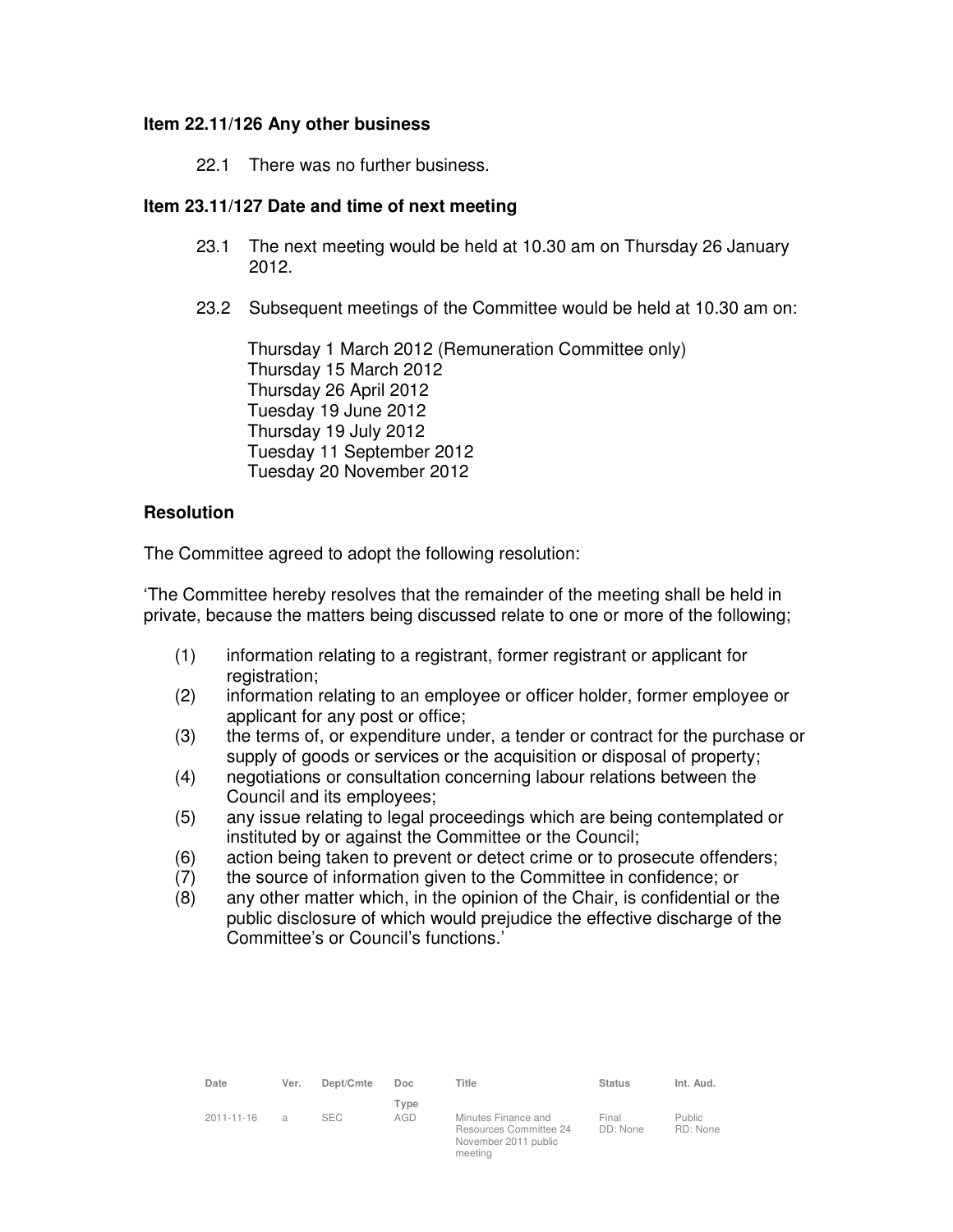#### **Item 22.11/126 Any other business**

22.1 There was no further business.

## **Item 23.11/127 Date and time of next meeting**

- 23.1 The next meeting would be held at 10.30 am on Thursday 26 January 2012.
- 23.2 Subsequent meetings of the Committee would be held at 10.30 am on:

Thursday 1 March 2012 (Remuneration Committee only) Thursday 15 March 2012 Thursday 26 April 2012 Tuesday 19 June 2012 Thursday 19 July 2012 Tuesday 11 September 2012 Tuesday 20 November 2012

#### **Resolution**

The Committee agreed to adopt the following resolution:

'The Committee hereby resolves that the remainder of the meeting shall be held in private, because the matters being discussed relate to one or more of the following;

- (1) information relating to a registrant, former registrant or applicant for registration;
- (2) information relating to an employee or officer holder, former employee or applicant for any post or office;
- (3) the terms of, or expenditure under, a tender or contract for the purchase or supply of goods or services or the acquisition or disposal of property;
- (4) negotiations or consultation concerning labour relations between the Council and its employees;
- (5) any issue relating to legal proceedings which are being contemplated or instituted by or against the Committee or the Council;
- (6) action being taken to prevent or detect crime or to prosecute offenders;
- (7) the source of information given to the Committee in confidence; or
- (8) any other matter which, in the opinion of the Chair, is confidential or the public disclosure of which would prejudice the effective discharge of the Committee's or Council's functions.'

| Date             | Ver. | Dept/Cmte  | Doc         | Title                                                                            | <b>Status</b>     | Int. Aud.           |
|------------------|------|------------|-------------|----------------------------------------------------------------------------------|-------------------|---------------------|
| $2011 - 11 - 16$ | a    | <b>SEC</b> | Type<br>AGD | Minutes Finance and<br>Resources Committee 24<br>November 2011 public<br>meeting | Final<br>DD: None | Public.<br>RD: None |